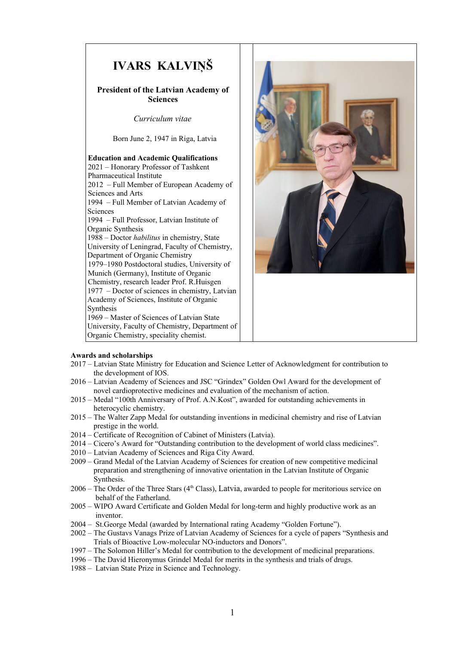

# **Awards and scholarships**

- 2017 Latvian State Ministry for Education and Science Letter of Acknowledgment for contribution to the development of IOS.
- 2016 Latvian Academy of Sciences and JSC "Grindex" Golden Owl Award for the development of novel cardioprotective medicines and evaluation of the mechanism of action.
- 2015 Medal "100th Anniversary of Prof. A.N.Kost", awarded for outstanding achievements in heterocyclic chemistry.
- 2015 The Walter Zapp Medal for outstanding inventions in medicinal chemistry and rise of Latvian prestige in the world.
- 2014 Certificate of Recognition of Cabinet of Ministers (Latvia).
- 2014 Cicero's Award for "Outstanding contribution to the development of world class medicines".
- 2010 Latvian Academy of Sciences and Riga City Award.
- 2009 Grand Medal of the Latvian Academy of Sciences for creation of new competitive medicinal preparation and strengthening of innovative orientation in the Latvian Institute of Organic Synthesis.
- $2006$  The Order of the Three Stars (4<sup>th</sup> Class), Latvia, awarded to people for meritorious service on behalf of the Fatherland.
- 2005 WIPO Award Certificate and Golden Medal for long-term and highly productive work as an inventor.
- 2004 St.George Medal (awarded by International rating Academy "Golden Fortune").
- 2002 The Gustavs Vanags Prize of Latvian Academy of Sciences for a cycle of papers "Synthesis and Trials of Bioactive Low-molecular NO-inductors and Donors".
- 1997 The Solomon Hiller's Medal for contribution to the development of medicinal preparations.
- 1996 The David Hieronymus Grindel Medal for merits in the synthesis and trials of drugs.
- 1988 Latvian State Prize in Science and Technology.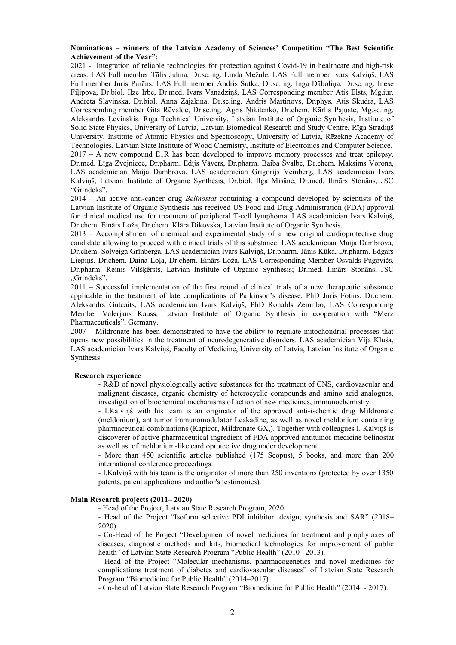## **Nominations – winners of the Latvian Academy of Sciences' Competition "The Best Scientific Achievement of the Year"**:

2021 - Integration of reliable technologies for protection against Covid-19 in healthcare and high-risk areas. LAS Full member Tālis Juhna, Dr.sc.ing. Linda Mežule, LAS Full member Ivars Kalviņš, LAS Full member Juris Purāns, LAS Full member Andris Šutka, Dr.sc.ing. Inga Dāboliņa, Dr.sc.ing. Inese Fiļipova, Dr.biol. Ilze Irbe, Dr.med. Ivars Vanadziņš, LAS Corresponding member Atis Elsts, Mg.iur. Andreta Slavinska, Dr.biol. Anna Zajakina, Dr.sc.ing. Andris Martinovs, Dr.phys. Atis Skudra, LAS Corresponding member Gita Rēvalde, Dr.sc.ing. Agris Ņikitenko, Dr.chem. Kārlis Pajuste, Mg.sc.ing. Aleksandrs Ļevinskis. Rīga Technical University, Latvian Institute of Organic Synthesis, Institute of Solid State Physics, University of Latvia, Latvian Biomedical Research and Study Centre, Rīga Stradiņš University, Institute of Atomic Physics and Spectroscopy, University of Latvia, Rēzekne Academy of Technologies, Latvian State Institute of Wood Chemistry, Institute of Electronics and Computer Science. 2017 – A new compound E1R has been developed to improve memory processes and treat epilepsy. Dr.med. Līga Zvejniece, Dr.pharm. Edijs Vāvers, Dr.pharm. Baiba Švalbe, Dr.chem. Maksims Vorona, LAS academician Maija Dambrova, LAS academician Grigorijs Veinberg, LAS academician Ivars Kalviņš, Latvian Institute of Organic Synthesis, Dr.biol. Ilga Misāne, Dr.med. Ilmārs Stonāns, JSC "Grindeks".

2014 – An active anti-cancer drug *Belinostat* containing a compound developed by scientists of the Latvian Institute of Organic Synthesis has received US Food and Drug Administration (FDA) approval for clinical medical use for treatment of peripheral T-cell lymphoma. LAS academician Ivars Kalviņš, Dr.chem. Einārs Loža, Dr.chem. Klāra Dikovska, Latvian Institute of Organic Synthesis.

2013 – Accomplishment of chemical and experimental study of a new original cardioprotective drug candidate allowing to proceed with clinical trials of this substance. LAS academician Maija Dambrova, Dr.chem. Solveiga Grīnberga, LAS academician Ivars Kalviņš, Dr.pharm. Jānis Kūka, Dr.pharm. Edgars Liepiņš, Dr.chem. Daina Loļa, Dr.chem. Einārs Loža, LAS Corresponding Member Osvalds Pugovičs, Dr.pharm. Reinis Vilšķērsts, Latvian Institute of Organic Synthesis; Dr.med. Ilmārs Stonāns, JSC "Grindeks".

2011 – Successful implementation of the first round of clinical trials of a new therapeutic substance applicable in the treatment of late complications of Parkinson's disease. PhD Juris Fotins, Dr.chem. Aleksandrs Gutcaits, LAS academician Ivars Kalviņš, PhD Ronalds Zemribo, LAS Corresponding Member Valerjans Kauss, Latvian Institute of Organic Synthesis in cooperation with "Merz Pharmaceuticals", Germany.

2007 – Mildronate has been demonstrated to have the ability to regulate mitochondrial processes that opens new possibilities in the treatment of neurodegenerative disorders. LAS academician Vija Kluša, LAS academician Ivars Kalviņš, Faculty of Medicine, University of Latvia, Latvian Institute of Organic Synthesis.

#### **Research experience**

- R&D of novel physiologically active substances for the treatment of CNS, cardiovascular and malignant diseases, organic chemistry of heterocyclic compounds and amino acid analogues, investigation of biochemical mechanisms of action of new medicines, immunochemistry.

- I.Kalviņš with his team is an originator of the approved anti-ischemic drug Mildronate (meldonium), antitumor immunomodulator Leakadine, as well as novel meldonium containing pharmaceutical combinations (Kapicor, Mildronate GX,). Together with colleagues I. Kalviņš is discoverer of active pharmaceutical ingredient of FDA approved antitumor medicine belinostat as well as of meldonium-like cardioprotective drug under development.

- More than 450 scientific articles published (175 Scopus), 5 books, and more than 200 international conference proceedings.

- I.Kalviņš with his team is the originator of more than 250 inventions (protected by over 1350 patents, patent applications and author's testimonies).

## **Main Research projects (2011– 2020)**

- Head of the Project, Latvian State Research Program, 2020.

- Head of the Project "Isoform selective PDI inhibitor: design, synthesis and SAR" (2018– 2020).

- Co-Head of the Project "Development of novel medicines for treatment and prophylaxes of diseases, diagnostic methods and kits, biomedical technologies for improvement of public health" of Latvian State Research Program "Public Health" (2010– 2013).

- Head of the Project "Molecular mechanisms, pharmacogenetics and novel medicines for complications treatment of diabetes and cardiovascular diseases" of Latvian State Research Program "Biomedicine for Public Health" (2014–2017).

- Co-head of Latvian State Research Program "Biomedicine for Public Health" (2014–- 2017).